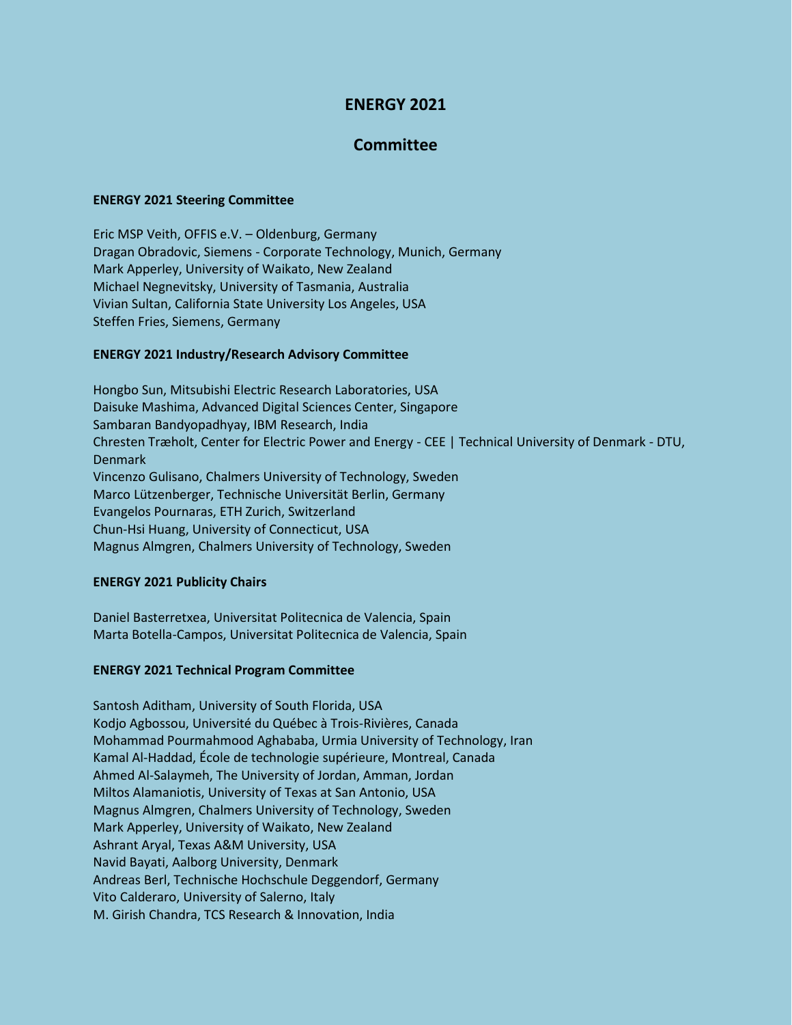# **ENERGY 2021**

## **Committee**

#### **ENERGY 2021 Steering Committee**

Eric MSP Veith, OFFIS e.V. – Oldenburg, Germany Dragan Obradovic, Siemens - Corporate Technology, Munich, Germany Mark Apperley, University of Waikato, New Zealand Michael Negnevitsky, University of Tasmania, Australia Vivian Sultan, California State University Los Angeles, USA Steffen Fries, Siemens, Germany

### **ENERGY 2021 Industry/Research Advisory Committee**

Hongbo Sun, Mitsubishi Electric Research Laboratories, USA Daisuke Mashima, Advanced Digital Sciences Center, Singapore Sambaran Bandyopadhyay, IBM Research, India Chresten Træholt, Center for Electric Power and Energy - CEE | Technical University of Denmark - DTU, Denmark Vincenzo Gulisano, Chalmers University of Technology, Sweden Marco Lützenberger, Technische Universität Berlin, Germany Evangelos Pournaras, ETH Zurich, Switzerland Chun-Hsi Huang, University of Connecticut, USA Magnus Almgren, Chalmers University of Technology, Sweden

### **ENERGY 2021 Publicity Chairs**

Daniel Basterretxea, Universitat Politecnica de Valencia, Spain Marta Botella-Campos, Universitat Politecnica de Valencia, Spain

### **ENERGY 2021 Technical Program Committee**

Santosh Aditham, University of South Florida, USA Kodjo Agbossou, Université du Québec à Trois-Rivières, Canada Mohammad Pourmahmood Aghababa, Urmia University of Technology, Iran Kamal Al-Haddad, École de technologie supérieure, Montreal, Canada Ahmed Al-Salaymeh, The University of Jordan, Amman, Jordan Miltos Alamaniotis, University of Texas at San Antonio, USA Magnus Almgren, Chalmers University of Technology, Sweden Mark Apperley, University of Waikato, New Zealand Ashrant Aryal, Texas A&M University, USA Navid Bayati, Aalborg University, Denmark Andreas Berl, Technische Hochschule Deggendorf, Germany Vito Calderaro, University of Salerno, Italy M. Girish Chandra, TCS Research & Innovation, India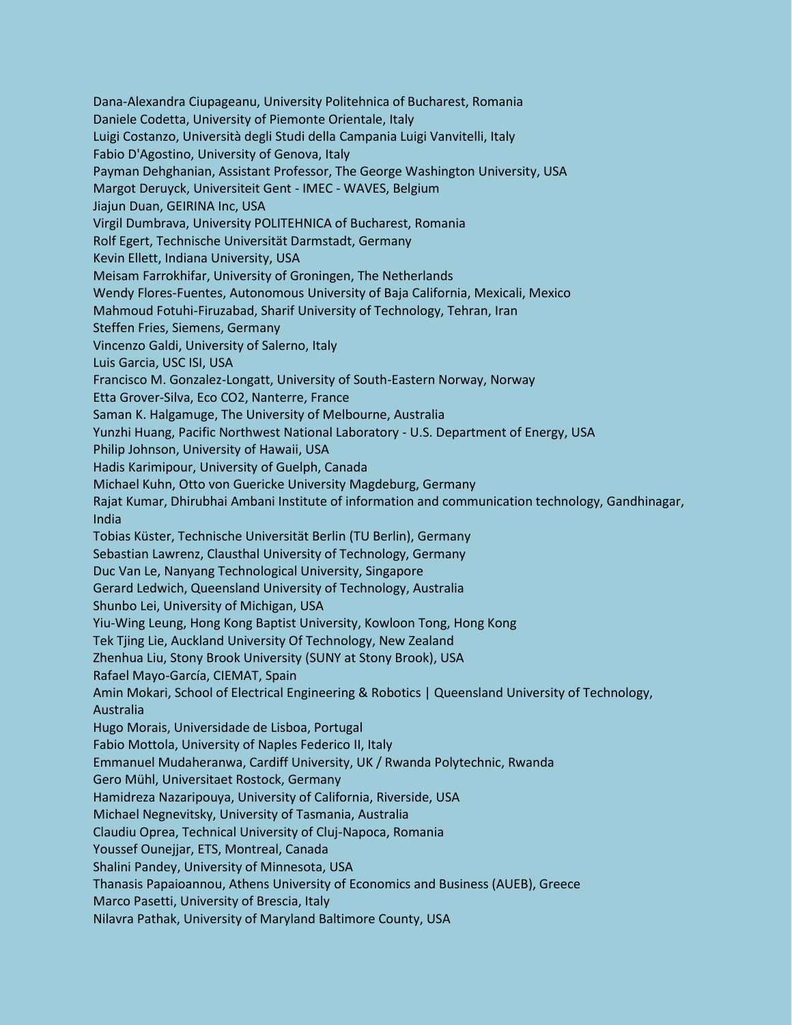Dana-Alexandra Ciupageanu, University Politehnica of Bucharest, Romania Daniele Codetta, University of Piemonte Orientale, Italy Luigi Costanzo, Università degli Studi della Campania Luigi Vanvitelli, Italy Fabio D'Agostino, University of Genova, Italy Payman Dehghanian, Assistant Professor, The George Washington University, USA Margot Deruyck, Universiteit Gent - IMEC - WAVES, Belgium Jiajun Duan, GEIRINA Inc, USA Virgil Dumbrava, University POLITEHNICA of Bucharest, Romania Rolf Egert, Technische Universität Darmstadt, Germany Kevin Ellett, Indiana University, USA Meisam Farrokhifar, University of Groningen, The Netherlands Wendy Flores-Fuentes, Autonomous University of Baja California, Mexicali, Mexico Mahmoud Fotuhi-Firuzabad, Sharif University of Technology, Tehran, Iran Steffen Fries, Siemens, Germany Vincenzo Galdi, University of Salerno, Italy Luis Garcia, USC ISI, USA Francisco M. Gonzalez-Longatt, University of South-Eastern Norway, Norway Etta Grover-Silva, Eco CO2, Nanterre, France Saman K. Halgamuge, The University of Melbourne, Australia Yunzhi Huang, Pacific Northwest National Laboratory - U.S. Department of Energy, USA Philip Johnson, University of Hawaii, USA Hadis Karimipour, University of Guelph, Canada Michael Kuhn, Otto von Guericke University Magdeburg, Germany Rajat Kumar, Dhirubhai Ambani Institute of information and communication technology, Gandhinagar, India Tobias Küster, Technische Universität Berlin (TU Berlin), Germany Sebastian Lawrenz, Clausthal University of Technology, Germany Duc Van Le, Nanyang Technological University, Singapore Gerard Ledwich, Queensland University of Technology, Australia Shunbo Lei, University of Michigan, USA Yiu-Wing Leung, Hong Kong Baptist University, Kowloon Tong, Hong Kong Tek Tjing Lie, Auckland University Of Technology, New Zealand Zhenhua Liu, Stony Brook University (SUNY at Stony Brook), USA Rafael Mayo-García, CIEMAT, Spain Amin Mokari, School of Electrical Engineering & Robotics | Queensland University of Technology, Australia Hugo Morais, Universidade de Lisboa, Portugal Fabio Mottola, University of Naples Federico II, Italy Emmanuel Mudaheranwa, Cardiff University, UK / Rwanda Polytechnic, Rwanda Gero Mühl, Universitaet Rostock, Germany Hamidreza Nazaripouya, University of California, Riverside, USA Michael Negnevitsky, University of Tasmania, Australia Claudiu Oprea, Technical University of Cluj-Napoca, Romania Youssef Ounejjar, ETS, Montreal, Canada Shalini Pandey, University of Minnesota, USA Thanasis Papaioannou, Athens University of Economics and Business (AUEB), Greece Marco Pasetti, University of Brescia, Italy Nilavra Pathak, University of Maryland Baltimore County, USA